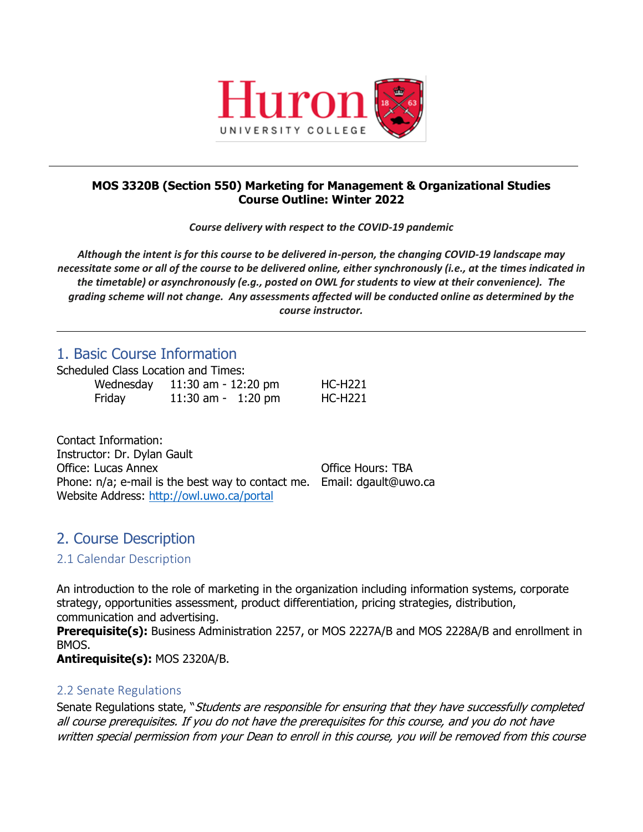

### **MOS 3320B (Section 550) Marketing for Management & Organizational Studies Course Outline: Winter 2022**

*Course delivery with respect to the COVID-19 pandemic*

*Although the intent is for this course to be delivered in-person, the changing COVID-19 landscape may necessitate some or all of the course to be delivered online, either synchronously (i.e., at the times indicated in the timetable) or asynchronously (e.g., posted on OWL for students to view at their convenience). The grading scheme will not change. Any assessments affected will be conducted online as determined by the course instructor.*

# 1. Basic Course Information

Scheduled Class Location and Times:

| Wednesday | 11:30 am - 12:20 pm | <b>HC-H221</b> |
|-----------|---------------------|----------------|
| Friday    | 11:30 am - 1:20 pm  | <b>HC-H221</b> |

Contact Information: Instructor: Dr. Dylan Gault Office: Lucas Annex **Office** Hours: TBA Phone: n/a; e-mail is the best way to contact me. Email: dgault@uwo.ca Website Address:<http://owl.uwo.ca/portal>

# 2. Course Description

## 2.1 Calendar Description

An introduction to the role of marketing in the organization including information systems, corporate strategy, opportunities assessment, product differentiation, pricing strategies, distribution, communication and advertising. **Prerequisite(s):** Business Administration 2257, or MOS 2227A/B and MOS 2228A/B and enrollment in BMOS.

**Antirequisite(s):** MOS 2320A/B.

## 2.2 Senate Regulations

Senate Regulations state, "Students are responsible for ensuring that they have successfully completed all course prerequisites. If you do not have the prerequisites for this course, and you do not have written special permission from your Dean to enroll in this course, you will be removed from this course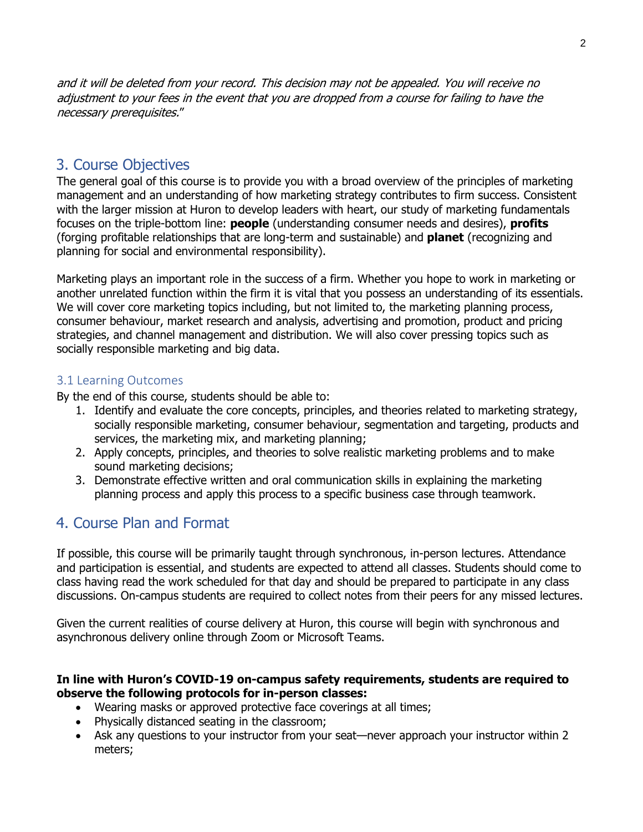and it will be deleted from your record. This decision may not be appealed. You will receive no adjustment to your fees in the event that you are dropped from a course for failing to have the necessary prerequisites."

# 3. Course Objectives

The general goal of this course is to provide you with a broad overview of the principles of marketing management and an understanding of how marketing strategy contributes to firm success. Consistent with the larger mission at Huron to develop leaders with heart, our study of marketing fundamentals focuses on the triple-bottom line: **people** (understanding consumer needs and desires), **profits** (forging profitable relationships that are long-term and sustainable) and **planet** (recognizing and planning for social and environmental responsibility).

Marketing plays an important role in the success of a firm. Whether you hope to work in marketing or another unrelated function within the firm it is vital that you possess an understanding of its essentials. We will cover core marketing topics including, but not limited to, the marketing planning process, consumer behaviour, market research and analysis, advertising and promotion, product and pricing strategies, and channel management and distribution. We will also cover pressing topics such as socially responsible marketing and big data.

### 3.1 Learning Outcomes

By the end of this course, students should be able to:

- 1. Identify and evaluate the core concepts, principles, and theories related to marketing strategy, socially responsible marketing, consumer behaviour, segmentation and targeting, products and services, the marketing mix, and marketing planning;
- 2. Apply concepts, principles, and theories to solve realistic marketing problems and to make sound marketing decisions;
- 3. Demonstrate effective written and oral communication skills in explaining the marketing planning process and apply this process to a specific business case through teamwork.

# 4. Course Plan and Format

If possible, this course will be primarily taught through synchronous, in-person lectures. Attendance and participation is essential, and students are expected to attend all classes. Students should come to class having read the work scheduled for that day and should be prepared to participate in any class discussions. On-campus students are required to collect notes from their peers for any missed lectures.

Given the current realities of course delivery at Huron, this course will begin with synchronous and asynchronous delivery online through Zoom or Microsoft Teams.

### **In line with Huron's COVID-19 on-campus safety requirements, students are required to observe the following protocols for in-person classes:**

- Wearing masks or approved protective face coverings at all times;
- Physically distanced seating in the classroom;
- Ask any questions to your instructor from your seat—never approach your instructor within 2 meters;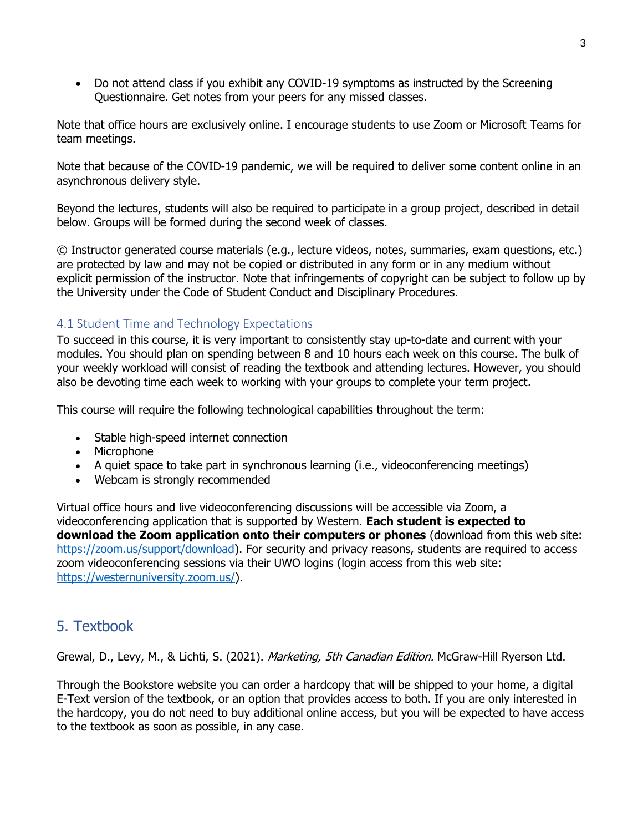• Do not attend class if you exhibit any COVID-19 symptoms as instructed by the Screening Questionnaire. Get notes from your peers for any missed classes.

Note that office hours are exclusively online. I encourage students to use Zoom or Microsoft Teams for team meetings.

Note that because of the COVID-19 pandemic, we will be required to deliver some content online in an asynchronous delivery style.

Beyond the lectures, students will also be required to participate in a group project, described in detail below. Groups will be formed during the second week of classes.

© Instructor generated course materials (e.g., lecture videos, notes, summaries, exam questions, etc.) are protected by law and may not be copied or distributed in any form or in any medium without explicit permission of the instructor. Note that infringements of copyright can be subject to follow up by the University under the Code of Student Conduct and Disciplinary Procedures.

## 4.1 Student Time and Technology Expectations

To succeed in this course, it is very important to consistently stay up-to-date and current with your modules. You should plan on spending between 8 and 10 hours each week on this course. The bulk of your weekly workload will consist of reading the textbook and attending lectures. However, you should also be devoting time each week to working with your groups to complete your term project.

This course will require the following technological capabilities throughout the term:

- Stable high-speed internet connection
- Microphone
- A quiet space to take part in synchronous learning (i.e., videoconferencing meetings)
- Webcam is strongly recommended

Virtual office hours and live videoconferencing discussions will be accessible via Zoom, a videoconferencing application that is supported by Western. **Each student is expected to download the Zoom application onto their computers or phones** (download from this web site: [https://zoom.us/support/download\)](https://zoom.us/support/download). For security and privacy reasons, students are required to access zoom videoconferencing sessions via their UWO logins (login access from this web site: [https://westernuniversity.zoom.us/\)](https://westernuniversity.zoom.us/).

# 5. Textbook

Grewal, D., Levy, M., & Lichti, S. (2021). *Marketing, 5th Canadian Edition.* McGraw-Hill Ryerson Ltd.

Through the Bookstore website you can order a hardcopy that will be shipped to your home, a digital E-Text version of the textbook, or an option that provides access to both. If you are only interested in the hardcopy, you do not need to buy additional online access, but you will be expected to have access to the textbook as soon as possible, in any case.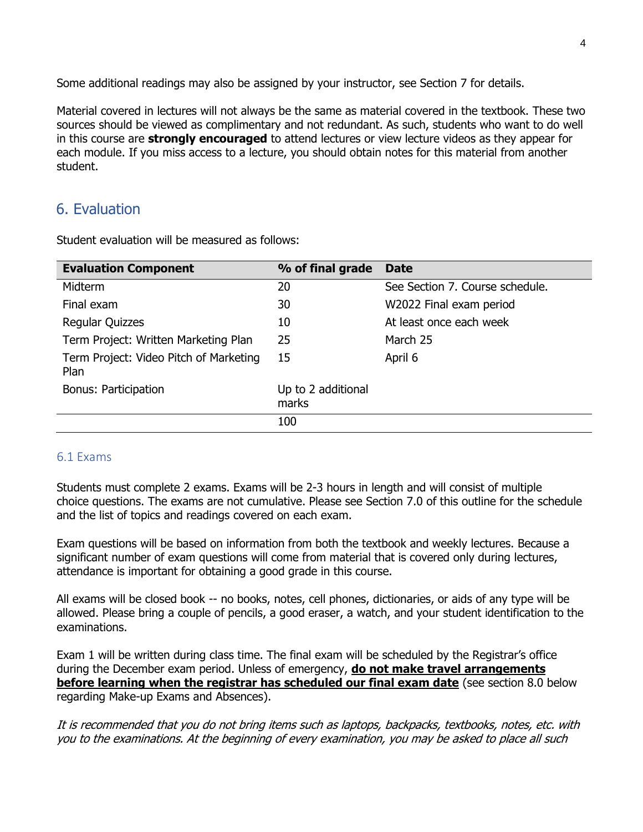Some additional readings may also be assigned by your instructor, see Section 7 for details.

Material covered in lectures will not always be the same as material covered in the textbook. These two sources should be viewed as complimentary and not redundant. As such, students who want to do well in this course are **strongly encouraged** to attend lectures or view lecture videos as they appear for each module. If you miss access to a lecture, you should obtain notes for this material from another student.

# 6. Evaluation

Student evaluation will be measured as follows:

| <b>Evaluation Component</b>                    | % of final grade            | <b>Date</b>                     |
|------------------------------------------------|-----------------------------|---------------------------------|
| <b>Midterm</b>                                 | 20                          | See Section 7. Course schedule. |
| Final exam                                     | 30                          | W2022 Final exam period         |
| <b>Regular Quizzes</b>                         | 10                          | At least once each week         |
| Term Project: Written Marketing Plan           | 25                          | March 25                        |
| Term Project: Video Pitch of Marketing<br>Plan | 15                          | April 6                         |
| Bonus: Participation                           | Up to 2 additional<br>marks |                                 |
|                                                | 100                         |                                 |

## 6.1 Exams

Students must complete 2 exams. Exams will be 2-3 hours in length and will consist of multiple choice questions. The exams are not cumulative. Please see Section 7.0 of this outline for the schedule and the list of topics and readings covered on each exam.

Exam questions will be based on information from both the textbook and weekly lectures. Because a significant number of exam questions will come from material that is covered only during lectures, attendance is important for obtaining a good grade in this course.

All exams will be closed book -- no books, notes, cell phones, dictionaries, or aids of any type will be allowed. Please bring a couple of pencils, a good eraser, a watch, and your student identification to the examinations.

Exam 1 will be written during class time. The final exam will be scheduled by the Registrar's office during the December exam period. Unless of emergency, **do not make travel arrangements before learning when the registrar has scheduled our final exam date** (see section 8.0 below regarding Make-up Exams and Absences).

It is recommended that you do not bring items such as laptops, backpacks, textbooks, notes, etc. with you to the examinations. At the beginning of every examination, you may be asked to place all such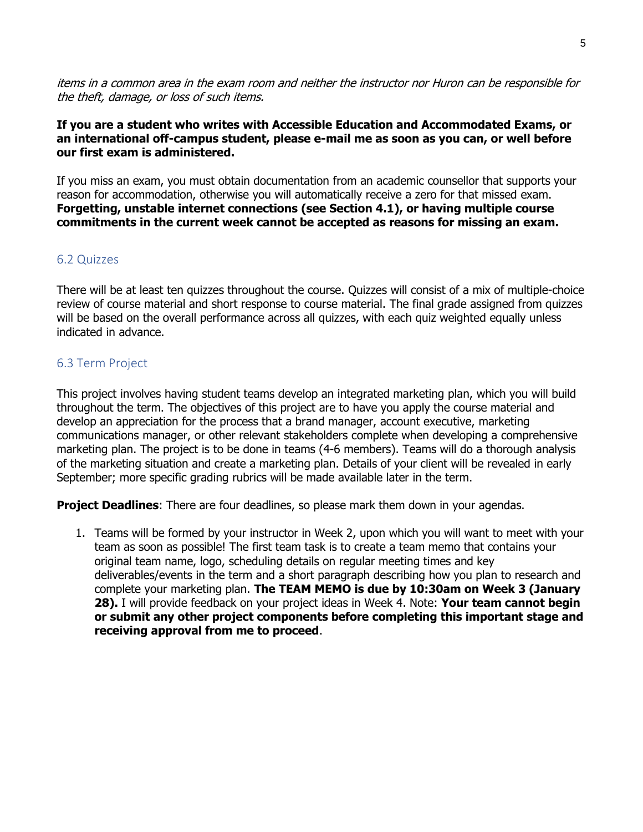items in a common area in the exam room and neither the instructor nor Huron can be responsible for the theft, damage, or loss of such items.

### **If you are a student who writes with Accessible Education and Accommodated Exams, or an international off-campus student, please e-mail me as soon as you can, or well before our first exam is administered.**

If you miss an exam, you must obtain documentation from an academic counsellor that supports your reason for accommodation, otherwise you will automatically receive a zero for that missed exam. **Forgetting, unstable internet connections (see Section 4.1), or having multiple course commitments in the current week cannot be accepted as reasons for missing an exam.**

### 6.2 Quizzes

There will be at least ten quizzes throughout the course. Quizzes will consist of a mix of multiple-choice review of course material and short response to course material. The final grade assigned from quizzes will be based on the overall performance across all quizzes, with each quiz weighted equally unless indicated in advance.

### 6.3 Term Project

This project involves having student teams develop an integrated marketing plan, which you will build throughout the term. The objectives of this project are to have you apply the course material and develop an appreciation for the process that a brand manager, account executive, marketing communications manager, or other relevant stakeholders complete when developing a comprehensive marketing plan. The project is to be done in teams (4-6 members). Teams will do a thorough analysis of the marketing situation and create a marketing plan. Details of your client will be revealed in early September; more specific grading rubrics will be made available later in the term.

**Project Deadlines**: There are four deadlines, so please mark them down in your agendas.

1. Teams will be formed by your instructor in Week 2, upon which you will want to meet with your team as soon as possible! The first team task is to create a team memo that contains your original team name, logo, scheduling details on regular meeting times and key deliverables/events in the term and a short paragraph describing how you plan to research and complete your marketing plan. **The TEAM MEMO is due by 10:30am on Week 3 (January 28).** I will provide feedback on your project ideas in Week 4. Note: **Your team cannot begin or submit any other project components before completing this important stage and receiving approval from me to proceed**.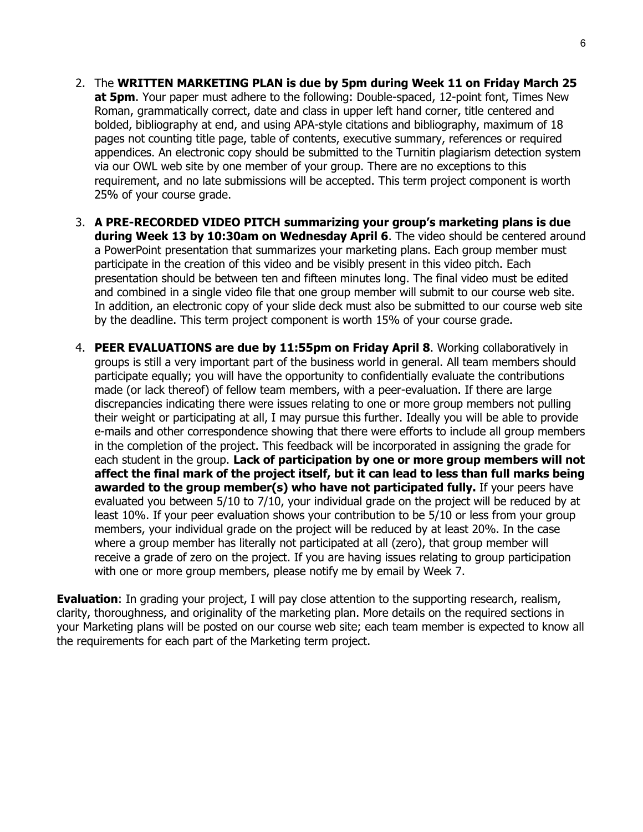- 2. The **WRITTEN MARKETING PLAN is due by 5pm during Week 11 on Friday March 25 at 5pm**. Your paper must adhere to the following: Double-spaced, 12-point font, Times New Roman, grammatically correct, date and class in upper left hand corner, title centered and bolded, bibliography at end, and using APA-style citations and bibliography, maximum of 18 pages not counting title page, table of contents, executive summary, references or required appendices. An electronic copy should be submitted to the Turnitin plagiarism detection system via our OWL web site by one member of your group. There are no exceptions to this requirement, and no late submissions will be accepted. This term project component is worth 25% of your course grade.
- 3. **A PRE-RECORDED VIDEO PITCH summarizing your group's marketing plans is due during Week 13 by 10:30am on Wednesday April 6**. The video should be centered around a PowerPoint presentation that summarizes your marketing plans. Each group member must participate in the creation of this video and be visibly present in this video pitch. Each presentation should be between ten and fifteen minutes long. The final video must be edited and combined in a single video file that one group member will submit to our course web site. In addition, an electronic copy of your slide deck must also be submitted to our course web site by the deadline. This term project component is worth 15% of your course grade.
- 4. **PEER EVALUATIONS are due by 11:55pm on Friday April 8**. Working collaboratively in groups is still a very important part of the business world in general. All team members should participate equally; you will have the opportunity to confidentially evaluate the contributions made (or lack thereof) of fellow team members, with a peer-evaluation. If there are large discrepancies indicating there were issues relating to one or more group members not pulling their weight or participating at all, I may pursue this further. Ideally you will be able to provide e-mails and other correspondence showing that there were efforts to include all group members in the completion of the project. This feedback will be incorporated in assigning the grade for each student in the group. **Lack of participation by one or more group members will not affect the final mark of the project itself, but it can lead to less than full marks being awarded to the group member(s) who have not participated fully.** If your peers have evaluated you between 5/10 to 7/10, your individual grade on the project will be reduced by at least 10%. If your peer evaluation shows your contribution to be 5/10 or less from your group members, your individual grade on the project will be reduced by at least 20%. In the case where a group member has literally not participated at all (zero), that group member will receive a grade of zero on the project. If you are having issues relating to group participation with one or more group members, please notify me by email by Week 7.

**Evaluation**: In grading your project, I will pay close attention to the supporting research, realism, clarity, thoroughness, and originality of the marketing plan. More details on the required sections in your Marketing plans will be posted on our course web site; each team member is expected to know all the requirements for each part of the Marketing term project.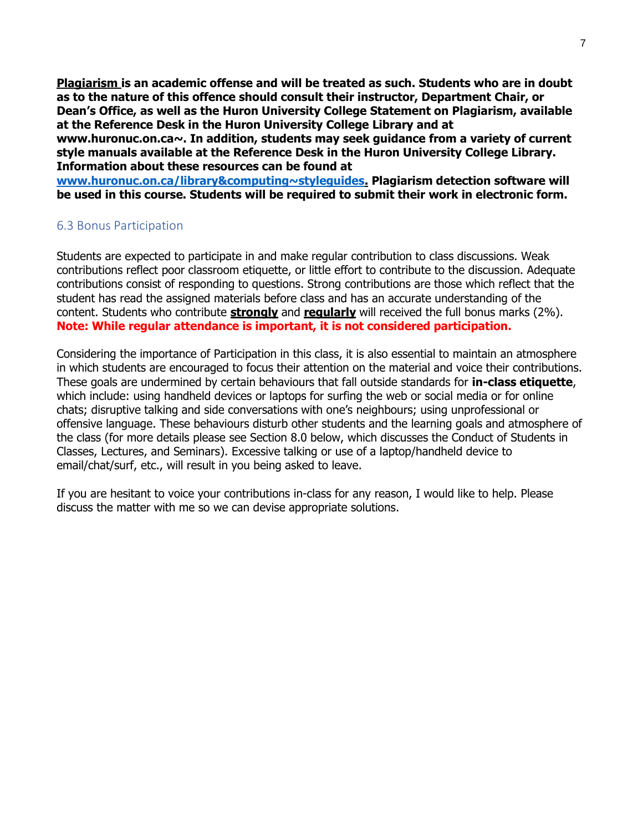**Plagiarism is an academic offense and will be treated as such. Students who are in doubt as to the nature of this offence should consult their instructor, Department Chair, or Dean's Office, as well as the Huron University College Statement on Plagiarism, available at the Reference Desk in the Huron University College Library and at www.huronuc.on.ca~. In addition, students may seek guidance from a variety of current style manuals available at the Reference Desk in the Huron University College Library. Information about these resources can be found at** 

**[www.huronuc.on.ca/library&computing~styleguides.](http://www.huronuc.on.ca/library&computing~styleguides) Plagiarism detection software will be used in this course. Students will be required to submit their work in electronic form.** 

### 6.3 Bonus Participation

Students are expected to participate in and make regular contribution to class discussions. Weak contributions reflect poor classroom etiquette, or little effort to contribute to the discussion. Adequate contributions consist of responding to questions. Strong contributions are those which reflect that the student has read the assigned materials before class and has an accurate understanding of the content. Students who contribute **strongly** and **regularly** will received the full bonus marks (2%). **Note: While regular attendance is important, it is not considered participation.** 

Considering the importance of Participation in this class, it is also essential to maintain an atmosphere in which students are encouraged to focus their attention on the material and voice their contributions. These goals are undermined by certain behaviours that fall outside standards for **in-class etiquette**, which include: using handheld devices or laptops for surfing the web or social media or for online chats; disruptive talking and side conversations with one's neighbours; using unprofessional or offensive language. These behaviours disturb other students and the learning goals and atmosphere of the class (for more details please see Section 8.0 below, which discusses the Conduct of Students in Classes, Lectures, and Seminars). Excessive talking or use of a laptop/handheld device to email/chat/surf, etc., will result in you being asked to leave.

If you are hesitant to voice your contributions in-class for any reason, I would like to help. Please discuss the matter with me so we can devise appropriate solutions.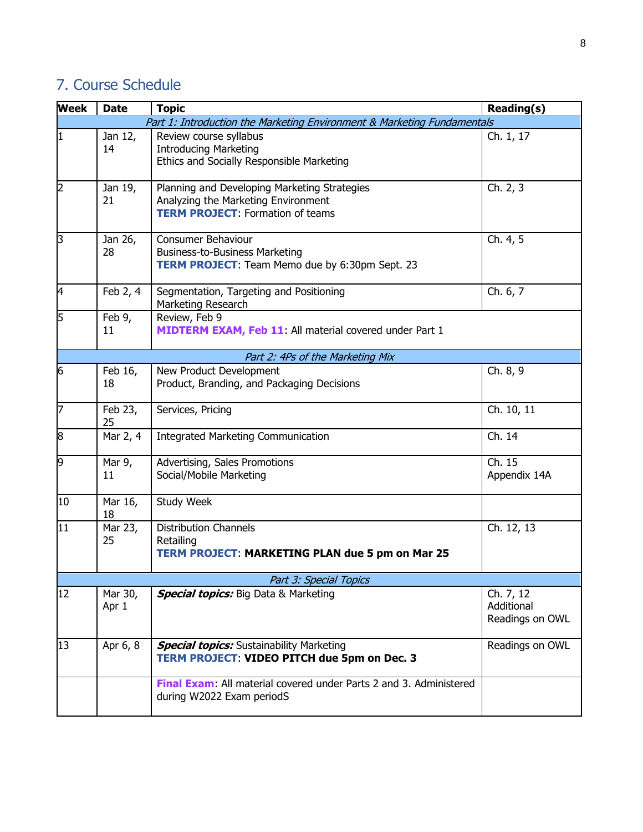# 7. Course Schedule

| Week                             | <b>Date</b>      | <b>Topic</b>                                                                                                                   | <b>Reading(s)</b>                          |  |  |
|----------------------------------|------------------|--------------------------------------------------------------------------------------------------------------------------------|--------------------------------------------|--|--|
|                                  |                  | Part 1: Introduction the Marketing Environment & Marketing Fundamentals                                                        |                                            |  |  |
| 1                                | Jan 12,<br>14    | Review course syllabus<br><b>Introducing Marketing</b><br>Ethics and Socially Responsible Marketing                            | Ch. 1, 17                                  |  |  |
| 2                                | Jan 19,<br>21    | Planning and Developing Marketing Strategies<br>Analyzing the Marketing Environment<br><b>TERM PROJECT: Formation of teams</b> | Ch. 2, 3                                   |  |  |
| 3                                | Jan 26,<br>28    | Consumer Behaviour<br><b>Business-to-Business Marketing</b><br>TERM PROJECT: Team Memo due by 6:30pm Sept. 23                  | Ch. 4, 5                                   |  |  |
| 4                                | Feb 2, 4         | Segmentation, Targeting and Positioning<br>Marketing Research                                                                  | Ch. 6, 7                                   |  |  |
| 5                                | Feb 9,<br>11     | Review, Feb 9<br><b>MIDTERM EXAM, Feb 11:</b> All material covered under Part 1                                                |                                            |  |  |
| Part 2: 4Ps of the Marketing Mix |                  |                                                                                                                                |                                            |  |  |
| 6                                | Feb 16,<br>18    | New Product Development<br>Product, Branding, and Packaging Decisions                                                          | Ch. 8, 9                                   |  |  |
| 7                                | Feb 23,<br>25    | Services, Pricing                                                                                                              | Ch. 10, 11                                 |  |  |
| 8                                | Mar 2, 4         | Integrated Marketing Communication                                                                                             | Ch. 14                                     |  |  |
| 9                                | Mar 9,<br>11     | Advertising, Sales Promotions<br>Social/Mobile Marketing                                                                       | Ch. 15<br>Appendix 14A                     |  |  |
| 10                               | Mar 16,<br>18    | Study Week                                                                                                                     |                                            |  |  |
| 11                               | Mar 23,<br>25    | <b>Distribution Channels</b><br>Retailing<br><b>TERM PROJECT: MARKETING PLAN due 5 pm on Mar 25</b>                            | Ch. 12, 13                                 |  |  |
| Part 3: Special Topics           |                  |                                                                                                                                |                                            |  |  |
| 12                               | Mar 30,<br>Apr 1 | <b>Special topics:</b> Big Data & Marketing                                                                                    | Ch. 7, 12<br>Additional<br>Readings on OWL |  |  |
| 13                               | Apr 6, 8         | <b>Special topics:</b> Sustainability Marketing<br>TERM PROJECT: VIDEO PITCH due 5pm on Dec. 3                                 | Readings on OWL                            |  |  |
|                                  |                  | Final Exam: All material covered under Parts 2 and 3. Administered<br>during W2022 Exam periodS                                |                                            |  |  |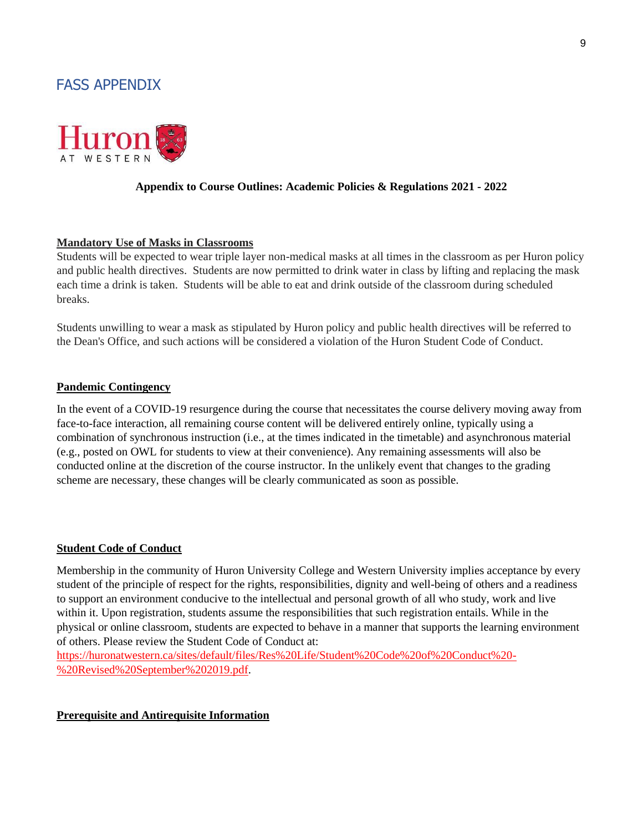# FASS APPENDIX



#### **Appendix to Course Outlines: Academic Policies & Regulations 2021 - 2022**

#### **Mandatory Use of Masks in Classrooms**

Students will be expected to wear triple layer non-medical masks at all times in the classroom as per Huron policy and public health directives. Students are now permitted to drink water in class by lifting and replacing the mask each time a drink is taken. Students will be able to eat and drink outside of the classroom during scheduled breaks.

Students unwilling to wear a mask as stipulated by Huron policy and public health directives will be referred to the Dean's Office, and such actions will be considered a violation of the Huron Student Code of Conduct.

#### **Pandemic Contingency**

In the event of a COVID-19 resurgence during the course that necessitates the course delivery moving away from face-to-face interaction, all remaining course content will be delivered entirely online, typically using a combination of synchronous instruction (i.e., at the times indicated in the timetable) and asynchronous material (e.g., posted on OWL for students to view at their convenience). Any remaining assessments will also be conducted online at the discretion of the course instructor. In the unlikely event that changes to the grading scheme are necessary, these changes will be clearly communicated as soon as possible.

#### **Student Code of Conduct**

Membership in the community of Huron University College and Western University implies acceptance by every student of the principle of respect for the rights, responsibilities, dignity and well-being of others and a readiness to support an environment conducive to the intellectual and personal growth of all who study, work and live within it. Upon registration, students assume the responsibilities that such registration entails. While in the physical or online classroom, students are expected to behave in a manner that supports the learning environment of others. Please review the Student Code of Conduct at:

[https://huronatwestern.ca/sites/default/files/Res%20Life/Student%20Code%20of%20Conduct%20-](https://huronatwestern.ca/sites/default/files/Res%20Life/Student%20Code%20of%20Conduct%20-%20Revised%20September%202019.pdf) [%20Revised%20September%202019.pdf.](https://huronatwestern.ca/sites/default/files/Res%20Life/Student%20Code%20of%20Conduct%20-%20Revised%20September%202019.pdf)

#### **Prerequisite and Antirequisite Information**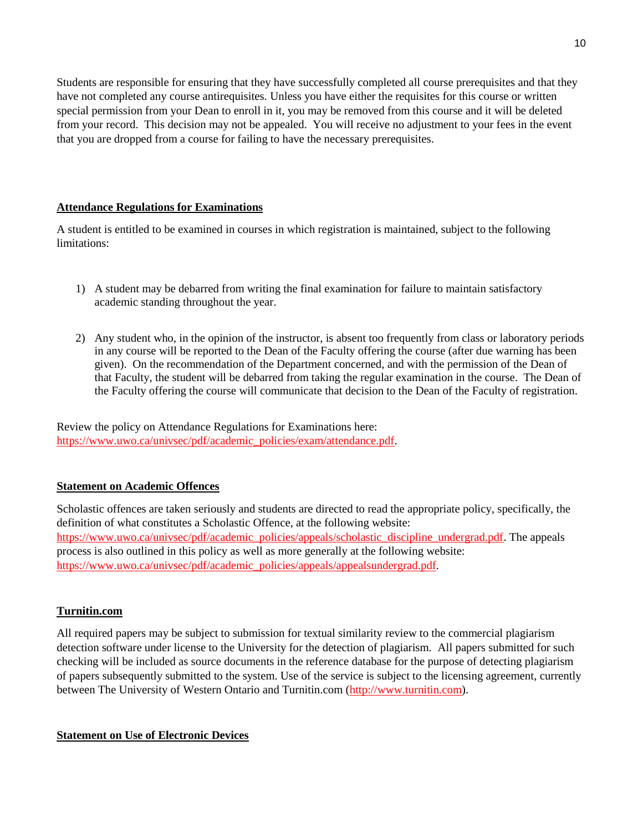Students are responsible for ensuring that they have successfully completed all course prerequisites and that they have not completed any course antirequisites. Unless you have either the requisites for this course or written special permission from your Dean to enroll in it, you may be removed from this course and it will be deleted from your record. This decision may not be appealed. You will receive no adjustment to your fees in the event that you are dropped from a course for failing to have the necessary prerequisites.

### **Attendance Regulations for Examinations**

A student is entitled to be examined in courses in which registration is maintained, subject to the following limitations:

- 1) A student may be debarred from writing the final examination for failure to maintain satisfactory academic standing throughout the year.
- 2) Any student who, in the opinion of the instructor, is absent too frequently from class or laboratory periods in any course will be reported to the Dean of the Faculty offering the course (after due warning has been given). On the recommendation of the Department concerned, and with the permission of the Dean of that Faculty, the student will be debarred from taking the regular examination in the course. The Dean of the Faculty offering the course will communicate that decision to the Dean of the Faculty of registration.

Review the policy on Attendance Regulations for Examinations here: [https://www.uwo.ca/univsec/pdf/academic\\_policies/exam/attendance.pdf.](https://www.uwo.ca/univsec/pdf/academic_policies/exam/attendance.pdf)

### **Statement on Academic Offences**

Scholastic offences are taken seriously and students are directed to read the appropriate policy, specifically, the definition of what constitutes a Scholastic Offence, at the following website: [https://www.uwo.ca/univsec/pdf/academic\\_policies/appeals/scholastic\\_discipline\\_undergrad.pdf.](https://www.uwo.ca/univsec/pdf/academic_policies/appeals/scholastic_discipline_undergrad.pdf) The appeals process is also outlined in this policy as well as more generally at the following website: [https://www.uwo.ca/univsec/pdf/academic\\_policies/appeals/appealsundergrad.pdf.](https://www.uwo.ca/univsec/pdf/academic_policies/appeals/appealsundergrad.pdf)

### **Turnitin.com**

All required papers may be subject to submission for textual similarity review to the commercial plagiarism detection software under license to the University for the detection of plagiarism. All papers submitted for such checking will be included as source documents in the reference database for the purpose of detecting plagiarism of papers subsequently submitted to the system. Use of the service is subject to the licensing agreement, currently between The University of Western Ontario and Turnitin.com [\(http://www.turnitin.com\)](http://www.turnitin.com/).

### **Statement on Use of Electronic Devices**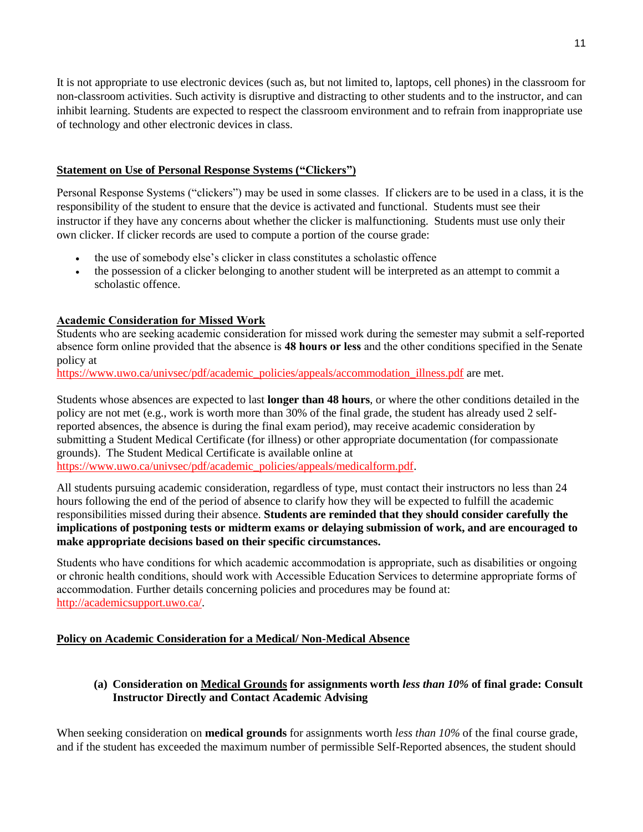It is not appropriate to use electronic devices (such as, but not limited to, laptops, cell phones) in the classroom for non-classroom activities. Such activity is disruptive and distracting to other students and to the instructor, and can inhibit learning. Students are expected to respect the classroom environment and to refrain from inappropriate use of technology and other electronic devices in class.

### **Statement on Use of Personal Response Systems ("Clickers")**

Personal Response Systems ("clickers") may be used in some classes. If clickers are to be used in a class, it is the responsibility of the student to ensure that the device is activated and functional. Students must see their instructor if they have any concerns about whether the clicker is malfunctioning. Students must use only their own clicker. If clicker records are used to compute a portion of the course grade:

- the use of somebody else's clicker in class constitutes a scholastic offence
- the possession of a clicker belonging to another student will be interpreted as an attempt to commit a scholastic offence.

### **Academic Consideration for Missed Work**

Students who are seeking academic consideration for missed work during the semester may submit a self-reported absence form online provided that the absence is **48 hours or less** and the other conditions specified in the Senate policy at

[https://www.uwo.ca/univsec/pdf/academic\\_policies/appeals/accommodation\\_illness.pdf](https://www.uwo.ca/univsec/pdf/academic_policies/appeals/accommodation_illness.pdf) are met.

Students whose absences are expected to last **longer than 48 hours**, or where the other conditions detailed in the policy are not met (e.g., work is worth more than 30% of the final grade, the student has already used 2 selfreported absences, the absence is during the final exam period), may receive academic consideration by submitting a Student Medical Certificate (for illness) or other appropriate documentation (for compassionate grounds). The Student Medical Certificate is available online at [https://www.uwo.ca/univsec/pdf/academic\\_policies/appeals/medicalform.pdf.](https://www.uwo.ca/univsec/pdf/academic_policies/appeals/medicalform.pdf)

All students pursuing academic consideration, regardless of type, must contact their instructors no less than 24 hours following the end of the period of absence to clarify how they will be expected to fulfill the academic responsibilities missed during their absence. **Students are reminded that they should consider carefully the implications of postponing tests or midterm exams or delaying submission of work, and are encouraged to make appropriate decisions based on their specific circumstances.**

Students who have conditions for which academic accommodation is appropriate, such as disabilities or ongoing or chronic health conditions, should work with Accessible Education Services to determine appropriate forms of accommodation. Further details concerning policies and procedures may be found at: [http://academicsupport.uwo.ca/.](http://academicsupport.uwo.ca/)

### **Policy on Academic Consideration for a Medical/ Non-Medical Absence**

**(a) Consideration on Medical Grounds for assignments worth** *less than 10%* **of final grade: Consult Instructor Directly and Contact Academic Advising**

When seeking consideration on **medical grounds** for assignments worth *less than 10%* of the final course grade, and if the student has exceeded the maximum number of permissible Self-Reported absences, the student should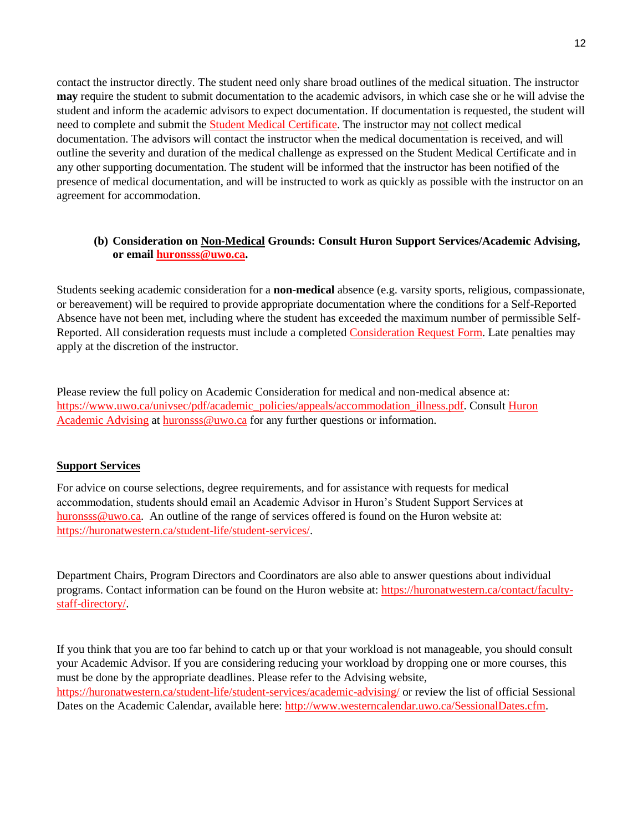contact the instructor directly. The student need only share broad outlines of the medical situation. The instructor **may** require the student to submit documentation to the academic advisors, in which case she or he will advise the student and inform the academic advisors to expect documentation. If documentation is requested, the student will need to complete and submit the [Student Medical Certificate.](https://www.uwo.ca/univsec/pdf/academic_policies/appeals/medicalform_15JUN.pdf) The instructor may not collect medical documentation. The advisors will contact the instructor when the medical documentation is received, and will outline the severity and duration of the medical challenge as expressed on the Student Medical Certificate and in any other supporting documentation. The student will be informed that the instructor has been notified of the presence of medical documentation, and will be instructed to work as quickly as possible with the instructor on an agreement for accommodation.

### **(b) Consideration on Non-Medical Grounds: Consult Huron Support Services/Academic Advising, or email [huronsss@uwo.ca.](mailto:huronsss@uwo.ca)**

Students seeking academic consideration for a **non-medical** absence (e.g. varsity sports, religious, compassionate, or bereavement) will be required to provide appropriate documentation where the conditions for a Self-Reported Absence have not been met, including where the student has exceeded the maximum number of permissible Self-Reported. All consideration requests must include a completed [Consideration Request Form.](https://huronatwestern.ca/sites/default/files/Forms/Academic%20Consideration%20Request%20Form%202020.pdf) Late penalties may apply at the discretion of the instructor.

Please review the full policy on Academic Consideration for medical and non-medical absence at: [https://www.uwo.ca/univsec/pdf/academic\\_policies/appeals/accommodation\\_illness.pdf.](https://www.uwo.ca/univsec/pdf/academic_policies/appeals/accommodation_illness.pdf) Consult Huron [Academic Advising](https://huronatwestern.ca/student-life/student-services/academic-advising/) at [huronsss@uwo.ca](mailto:huronsss@uwo.ca) for any further questions or information.

### **Support Services**

For advice on course selections, degree requirements, and for assistance with requests for medical accommodation, students should email an Academic Advisor in Huron's Student Support Services at [huronsss@uwo.ca.](mailto:huronsss@uwo.ca) An outline of the range of services offered is found on the Huron website at: [https://huronatwestern.ca/student-life/student-services/.](https://huronatwestern.ca/student-life/student-services/)

Department Chairs, Program Directors and Coordinators are also able to answer questions about individual programs. Contact information can be found on the Huron website at: [https://huronatwestern.ca/contact/faculty](https://huronatwestern.ca/contact/faculty-staff-directory/)[staff-directory/.](https://huronatwestern.ca/contact/faculty-staff-directory/)

If you think that you are too far behind to catch up or that your workload is not manageable, you should consult your Academic Advisor. If you are considering reducing your workload by dropping one or more courses, this must be done by the appropriate deadlines. Please refer to the Advising website, <https://huronatwestern.ca/student-life/student-services/academic-advising/> or review the list of official Sessional Dates on the Academic Calendar, available here: [http://www.westerncalendar.uwo.ca/SessionalDates.cfm.](http://www.westerncalendar.uwo.ca/SessionalDates.cfm)